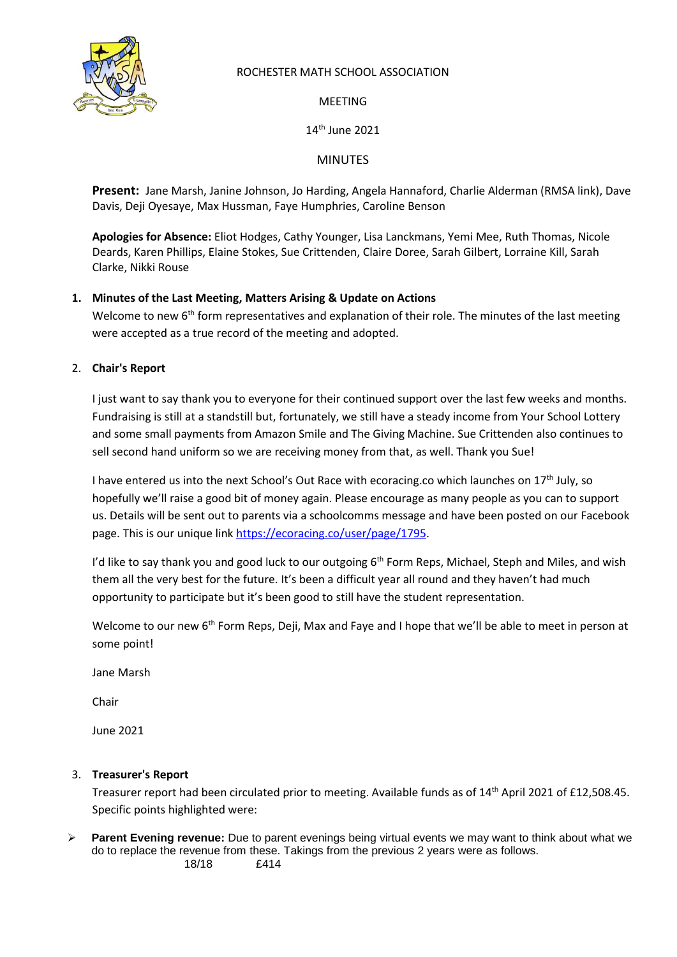

### ROCHESTER MATH SCHOOL ASSOCIATION

MEETING

14th June 2021

MINUTES

**Present:** Jane Marsh, Janine Johnson, Jo Harding, Angela Hannaford, Charlie Alderman (RMSA link), Dave Davis, Deji Oyesaye, Max Hussman, Faye Humphries, Caroline Benson

**Apologies for Absence:** Eliot Hodges, Cathy Younger, Lisa Lanckmans, Yemi Mee, Ruth Thomas, Nicole Deards, Karen Phillips, Elaine Stokes, Sue Crittenden, Claire Doree, Sarah Gilbert, Lorraine Kill, Sarah Clarke, Nikki Rouse

## **1. Minutes of the Last Meeting, Matters Arising & Update on Actions**

Welcome to new 6<sup>th</sup> form representatives and explanation of their role. The minutes of the last meeting were accepted as a true record of the meeting and adopted.

## 2. **Chair's Report**

I just want to say thank you to everyone for their continued support over the last few weeks and months. Fundraising is still at a standstill but, fortunately, we still have a steady income from Your School Lottery and some small payments from Amazon Smile and The Giving Machine. Sue Crittenden also continues to sell second hand uniform so we are receiving money from that, as well. Thank you Sue!

I have entered us into the next School's Out Race with ecoracing.co which launches on  $17<sup>th</sup>$  July, so hopefully we'll raise a good bit of money again. Please encourage as many people as you can to support us. Details will be sent out to parents via a schoolcomms message and have been posted on our Facebook page. This is our unique lin[k https://ecoracing.co/user/page/1795.](https://ecoracing.co/user/page/1795)

I'd like to say thank you and good luck to our outgoing  $6<sup>th</sup>$  Form Reps, Michael, Steph and Miles, and wish them all the very best for the future. It's been a difficult year all round and they haven't had much opportunity to participate but it's been good to still have the student representation.

Welcome to our new 6<sup>th</sup> Form Reps, Deji, Max and Faye and I hope that we'll be able to meet in person at some point!

Jane Marsh

Chair

June 2021

### 3. **Treasurer's Report**

Treasurer report had been circulated prior to meeting. Available funds as of 14<sup>th</sup> April 2021 of £12,508.45. Specific points highlighted were:

➢ **Parent Evening revenue:** Due to parent evenings being virtual events we may want to think about what we do to replace the revenue from these. Takings from the previous 2 years were as follows. 18/18 £414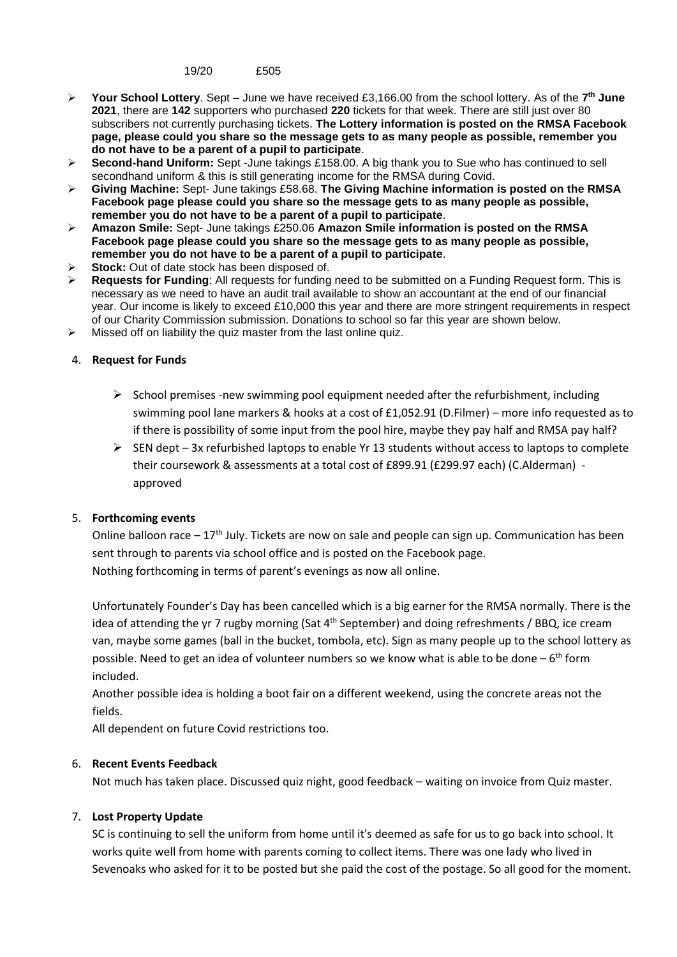19/20 £505

- ➢ **Your School Lottery**. Sept June we have received £3,166.00 from the school lottery. As of the **7 th June 2021**, there are **142** supporters who purchased **220** tickets for that week. There are still just over 80 subscribers not currently purchasing tickets. **The Lottery information is posted on the RMSA Facebook page, please could you share so the message gets to as many people as possible, remember you do not have to be a parent of a pupil to participate**.
- ➢ **Second-hand Uniform:** Sept -June takings £158.00. A big thank you to Sue who has continued to sell secondhand uniform & this is still generating income for the RMSA during Covid.
- ➢ **Giving Machine:** Sept- June takings £58.68. **The Giving Machine information is posted on the RMSA Facebook page please could you share so the message gets to as many people as possible, remember you do not have to be a parent of a pupil to participate**.
- ➢ **Amazon Smile:** Sept- June takings £250.06 **Amazon Smile information is posted on the RMSA Facebook page please could you share so the message gets to as many people as possible, remember you do not have to be a parent of a pupil to participate**.
- Stock: Out of date stock has been disposed of.
- ➢ **Requests for Funding**: All requests for funding need to be submitted on a Funding Request form. This is necessary as we need to have an audit trail available to show an accountant at the end of our financial year. Our income is likely to exceed £10,000 this year and there are more stringent requirements in respect of our Charity Commission submission. Donations to school so far this year are shown below.
- Missed off on liability the quiz master from the last online quiz.

#### 4. **Request for Funds**

- $\triangleright$  School premises -new swimming pool equipment needed after the refurbishment, including swimming pool lane markers & hooks at a cost of £1,052.91 (D.Filmer) – more info requested as to if there is possibility of some input from the pool hire, maybe they pay half and RMSA pay half?
- $\triangleright$  SEN dept 3x refurbished laptops to enable Yr 13 students without access to laptops to complete their coursework & assessments at a total cost of £899.91 (£299.97 each) (C.Alderman) approved

#### 5. **Forthcoming events**

Online balloon race  $-17<sup>th</sup>$  July. Tickets are now on sale and people can sign up. Communication has been sent through to parents via school office and is posted on the Facebook page. Nothing forthcoming in terms of parent's evenings as now all online.

Unfortunately Founder's Day has been cancelled which is a big earner for the RMSA normally. There is the idea of attending the yr 7 rugby morning (Sat  $4<sup>th</sup>$  September) and doing refreshments / BBQ, ice cream van, maybe some games (ball in the bucket, tombola, etc). Sign as many people up to the school lottery as possible. Need to get an idea of volunteer numbers so we know what is able to be done  $-6<sup>th</sup>$  form included.

Another possible idea is holding a boot fair on a different weekend, using the concrete areas not the fields.

All dependent on future Covid restrictions too.

#### 6. **Recent Events Feedback**

Not much has taken place. Discussed quiz night, good feedback – waiting on invoice from Quiz master.

### 7. **Lost Property Update**

SC is continuing to sell the uniform from home until it's deemed as safe for us to go back into school. It works quite well from home with parents coming to collect items. There was one lady who lived in Sevenoaks who asked for it to be posted but she paid the cost of the postage. So all good for the moment.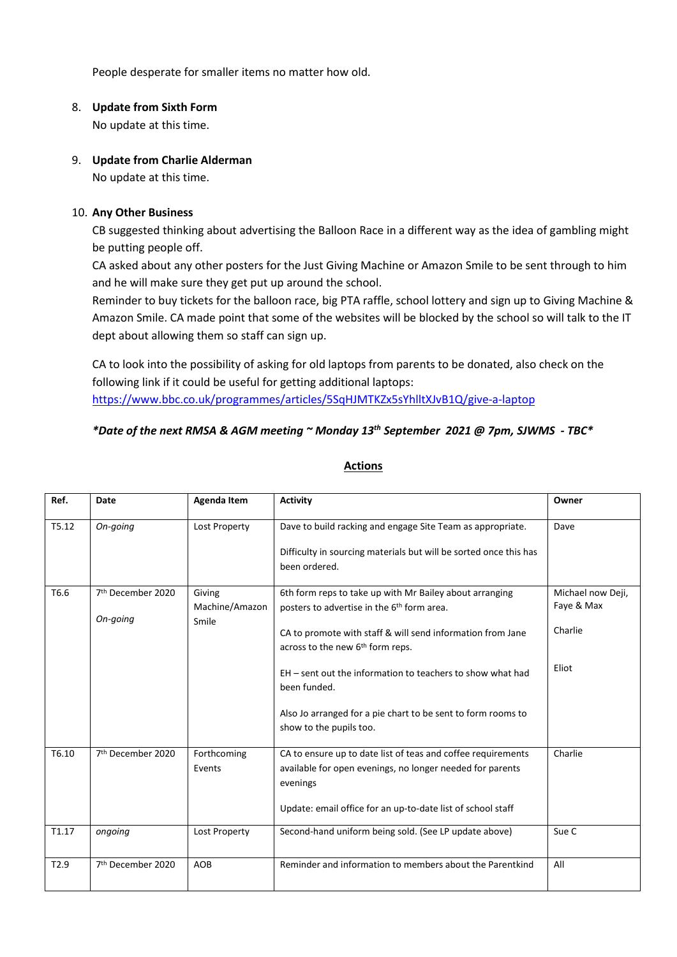People desperate for smaller items no matter how old.

### 8. **Update from Sixth Form**

No update at this time.

### 9. **Update from Charlie Alderman**

No update at this time.

### 10. **Any Other Business**

CB suggested thinking about advertising the Balloon Race in a different way as the idea of gambling might be putting people off.

CA asked about any other posters for the Just Giving Machine or Amazon Smile to be sent through to him and he will make sure they get put up around the school.

Reminder to buy tickets for the balloon race, big PTA raffle, school lottery and sign up to Giving Machine & Amazon Smile. CA made point that some of the websites will be blocked by the school so will talk to the IT dept about allowing them so staff can sign up.

CA to look into the possibility of asking for old laptops from parents to be donated, also check on the following link if it could be useful for getting additional laptops: <https://www.bbc.co.uk/programmes/articles/5SqHJMTKZx5sYhlltXJvB1Q/give-a-laptop>

## *\*Date of the next RMSA & AGM meeting ~ Monday 13th September 2021 @ 7pm, SJWMS - TBC\**

| Ref.             | Date                          | Agenda Item    | <b>Activity</b>                                                                                                                                  | Owner             |
|------------------|-------------------------------|----------------|--------------------------------------------------------------------------------------------------------------------------------------------------|-------------------|
| T5.12            | On-going                      | Lost Property  | Dave to build racking and engage Site Team as appropriate.<br>Difficulty in sourcing materials but will be sorted once this has<br>been ordered. | Dave              |
| T6.6             | 7 <sup>th</sup> December 2020 | Giving         | 6th form reps to take up with Mr Bailey about arranging                                                                                          | Michael now Deji, |
|                  |                               | Machine/Amazon | posters to advertise in the 6 <sup>th</sup> form area.                                                                                           | Faye & Max        |
|                  | On-going                      | Smile          | CA to promote with staff & will send information from Jane<br>across to the new 6 <sup>th</sup> form reps.                                       | Charlie           |
|                  |                               |                | EH – sent out the information to teachers to show what had<br>been funded.                                                                       | Eliot             |
|                  |                               |                | Also Jo arranged for a pie chart to be sent to form rooms to<br>show to the pupils too.                                                          |                   |
| T6.10            | 7 <sup>th</sup> December 2020 | Forthcoming    | CA to ensure up to date list of teas and coffee requirements                                                                                     | Charlie           |
|                  |                               | Events         | available for open evenings, no longer needed for parents<br>evenings                                                                            |                   |
|                  |                               |                | Update: email office for an up-to-date list of school staff                                                                                      |                   |
| T1.17            | ongoing                       | Lost Property  | Second-hand uniform being sold. (See LP update above)                                                                                            | Sue C             |
| T <sub>2.9</sub> | 7 <sup>th</sup> December 2020 | AOB            | Reminder and information to members about the Parentkind                                                                                         | All               |

# **Actions**